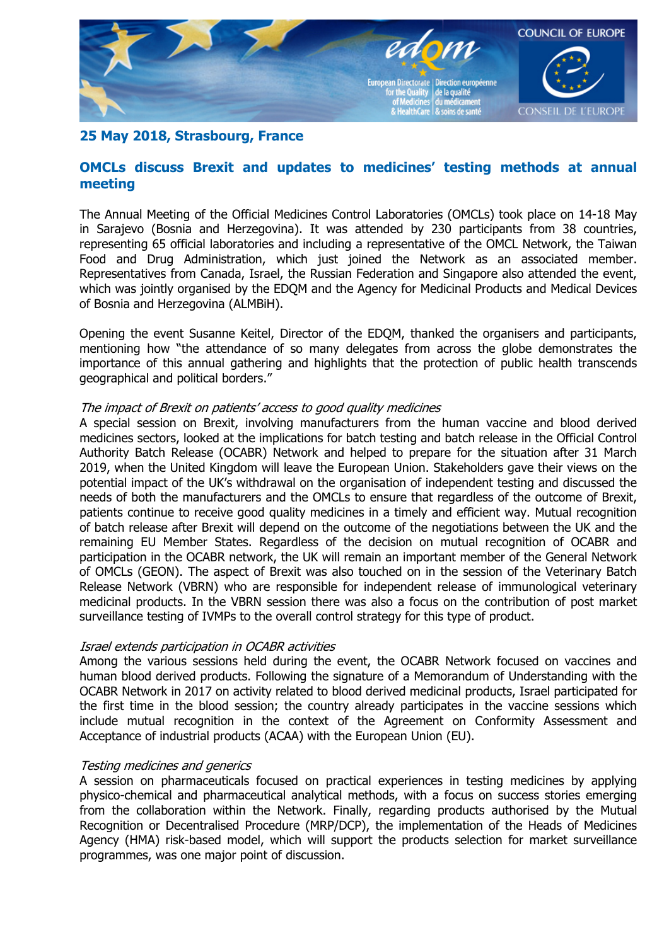

# **25 May 2018, Strasbourg, France**

## **OMCLs discuss Brexit and updates to medicines' testing methods at annual meeting**

The Annual Meeting of the Official Medicines Control Laboratories (OMCLs) took place on 14-18 May in Sarajevo (Bosnia and Herzegovina). It was attended by 230 participants from 38 countries, representing 65 official laboratories and including a representative of the OMCL Network, the Taiwan Food and Drug Administration, which just joined the Network as an associated member. Representatives from Canada, Israel, the Russian Federation and Singapore also attended the event, which was jointly organised by the EDQM and the Agency for Medicinal Products and Medical Devices of Bosnia and Herzegovina (ALMBiH).

Opening the event Susanne Keitel, Director of the EDQM, thanked the organisers and participants, mentioning how "the attendance of so many delegates from across the globe demonstrates the importance of this annual gathering and highlights that the protection of public health transcends geographical and political borders."

#### The impact of Brexit on patients' access to good quality medicines

A special session on Brexit, involving manufacturers from the human vaccine and blood derived medicines sectors, looked at the implications for batch testing and batch release in the Official Control Authority Batch Release (OCABR) Network and helped to prepare for the situation after 31 March 2019, when the United Kingdom will leave the European Union. Stakeholders gave their views on the potential impact of the UK's withdrawal on the organisation of independent testing and discussed the needs of both the manufacturers and the OMCLs to ensure that regardless of the outcome of Brexit, patients continue to receive good quality medicines in a timely and efficient way. Mutual recognition of batch release after Brexit will depend on the outcome of the negotiations between the UK and the remaining EU Member States. Regardless of the decision on mutual recognition of OCABR and participation in the OCABR network, the UK will remain an important member of the General Network of OMCLs (GEON). The aspect of Brexit was also touched on in the session of the Veterinary Batch Release Network (VBRN) who are responsible for independent release of immunological veterinary medicinal products. In the VBRN session there was also a focus on the contribution of post market surveillance testing of IVMPs to the overall control strategy for this type of product.

#### Israel extends participation in OCABR activities

Among the various sessions held during the event, the OCABR Network focused on vaccines and human blood derived products. Following the signature of a Memorandum of Understanding with the OCABR Network in 2017 on activity related to blood derived medicinal products, Israel participated for the first time in the blood session; the country already participates in the vaccine sessions which include mutual recognition in the context of the Agreement on Conformity Assessment and Acceptance of industrial products (ACAA) with the European Union (EU).

#### Testing medicines and generics

A session on pharmaceuticals focused on practical experiences in testing medicines by applying physico-chemical and pharmaceutical analytical methods, with a focus on success stories emerging from the collaboration within the Network. Finally, regarding products authorised by the Mutual Recognition or Decentralised Procedure (MRP/DCP), the implementation of the Heads of Medicines Agency (HMA) risk-based model, which will support the products selection for market surveillance programmes, was one major point of discussion.